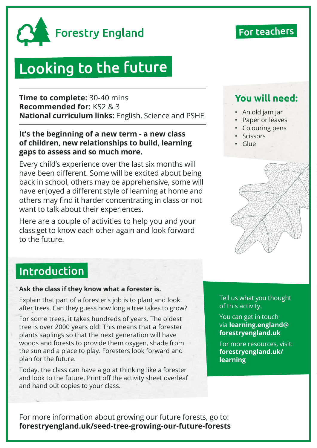

### **Forestry England**

### For teachers

# Looking to the future

### **Time to complete:** 30-40 mins **You will need: Recommended for:** KS2 & 3 **National curriculum links:** English, Science and PSHE

#### **It's the beginning of a new term - a new class of children, new relationships to build, learning gaps to assess and so much more.**

Every child's experience over the last six months will have been different. Some will be excited about being back in school, others may be apprehensive, some will have enjoyed a different style of learning at home and others may find it harder concentrating in class or not want to talk about their experiences.

Here are a couple of activities to help you and your class get to know each other again and look forward to the future.

- An old jam jar
- Paper or leaves
- Colouring pens
- **Scissors**
- Glue



### Introduction

#### **Ask the class if they know what a forester is.**

Explain that part of a forester's job is to plant and look after trees. Can they guess how long a tree takes to grow?

For some trees, it takes hundreds of years. The oldest tree is over 2000 years old! This means that a forester plants saplings so that the next generation will have woods and forests to provide them oxygen, shade from the sun and a place to play. Foresters look forward and plan for the future.

Today, the class can have a go at thinking like a forester and look to the future. Print off the activity sheet overleaf and hand out copies to your class.

Tell us what you thought of this activity.

You can get in touch via **learning.england@ forestryengland.uk**

For more resources, visit: **forestryengland.uk/ learning**

For more information about growing our future forests, go to: **forestryengland.uk/seed-tree-growing-our-future-forests**